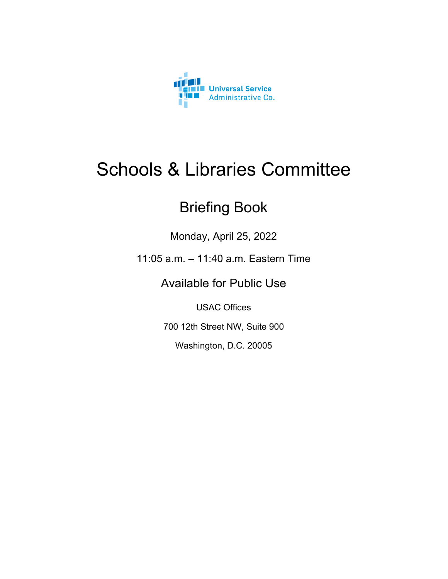

### Schools & Libraries Committee

### Briefing Book

Monday, April 25, 2022

11:05 a.m. – 11:40 a.m. Eastern Time

Available for Public Use

USAC Offices

700 12th Street NW, Suite 900

Washington, D.C. 20005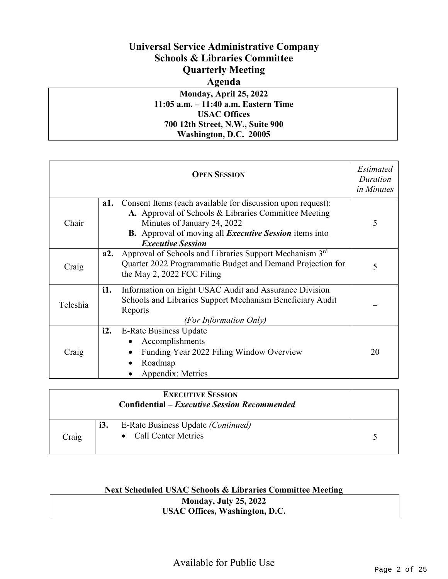### **Universal Service Administrative Company Schools & Libraries Committee Quarterly Meeting Agenda**

#### **Monday, April 25, 2022 11:05 a.m. – 11:40 a.m. Eastern Time USAC Offices 700 12th Street, N.W., Suite 900 Washington, D.C. 20005**

| <b>OPEN SESSION</b><br>in Minutes |     |                                                                                                                                                                                                                                                        |    |  |
|-----------------------------------|-----|--------------------------------------------------------------------------------------------------------------------------------------------------------------------------------------------------------------------------------------------------------|----|--|
| Chair                             | a1. | Consent Items (each available for discussion upon request):<br>A. Approval of Schools & Libraries Committee Meeting<br>Minutes of January 24, 2022<br><b>B.</b> Approval of moving all <i>Executive Session</i> items into<br><b>Executive Session</b> | 5  |  |
| Craig                             | a2. | Approval of Schools and Libraries Support Mechanism 3rd<br>Quarter 2022 Programmatic Budget and Demand Projection for<br>the May 2, 2022 FCC Filing                                                                                                    | 5  |  |
| Teleshia                          | i1. | Information on Eight USAC Audit and Assurance Division<br>Schools and Libraries Support Mechanism Beneficiary Audit<br>Reports<br>(For Information Only)                                                                                               |    |  |
| Craig                             | i2. | <b>E-Rate Business Update</b><br>Accomplishments<br>Funding Year 2022 Filing Window Overview<br>Roadmap<br>Appendix: Metrics                                                                                                                           | 20 |  |

| <b>EXECUTIVE SESSION</b><br><b>Confidential – Executive Session Recommended</b> |     |                                                             |  |
|---------------------------------------------------------------------------------|-----|-------------------------------------------------------------|--|
| Craig                                                                           | i3. | E-Rate Business Update (Continued)<br>• Call Center Metrics |  |

#### **Next Scheduled USAC Schools & Libraries Committee Meeting Monday, July 25, 2022**

| MOHUAY, JULY 23, 2022                 |  |
|---------------------------------------|--|
| <b>USAC Offices, Washington, D.C.</b> |  |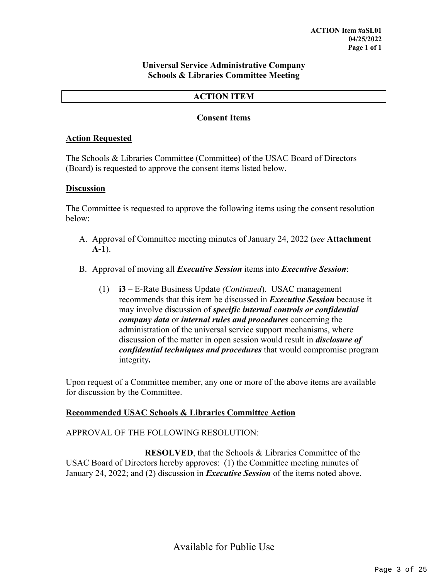#### **Universal Service Administrative Company Schools & Libraries Committee Meeting**

#### **ACTION ITEM**

#### **Consent Items**

#### **Action Requested**

The Schools & Libraries Committee (Committee) of the USAC Board of Directors (Board) is requested to approve the consent items listed below.

#### **Discussion**

The Committee is requested to approve the following items using the consent resolution below:

- A. Approval of Committee meeting minutes of January 24, 2022 (*see* **Attachment A-1**).
- B. Approval of moving all *Executive Session* items into *Executive Session*:
	- (1) **i3 –** E-Rate Business Update *(Continued*). USAC management recommends that this item be discussed in *Executive Session* because it may involve discussion of *specific internal controls or confidential company data* or *internal rules and procedures* concerning the administration of the universal service support mechanisms, where discussion of the matter in open session would result in *disclosure of confidential techniques and procedures* that would compromise program integrity*.*

Upon request of a Committee member, any one or more of the above items are available for discussion by the Committee.

#### **Recommended USAC Schools & Libraries Committee Action**

#### APPROVAL OF THE FOLLOWING RESOLUTION:

**RESOLVED**, that the Schools & Libraries Committee of the USAC Board of Directors hereby approves: (1) the Committee meeting minutes of January 24, 2022; and (2) discussion in *Executive Session* of the items noted above.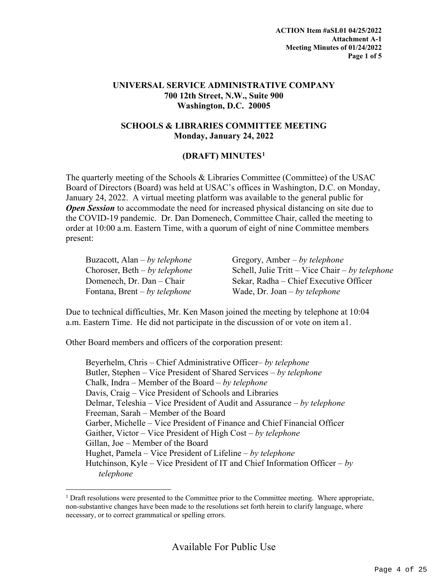#### **UNIVERSAL SERVICE ADMINISTRATIVE COMPANY 700 12th Street, N.W., Suite 900 Washington, D.C. 20005**

#### **SCHOOLS & LIBRARIES COMMITTEE MEETING Monday, January 24, 2022**

#### **(DRAFT) MINUTES[1](#page-3-0)**

The quarterly meeting of the Schools & Libraries Committee (Committee) of the USAC Board of Directors (Board) was held at USAC's offices in Washington, D.C. on Monday, January 24, 2022. A virtual meeting platform was available to the general public for *Open Session* to accommodate the need for increased physical distancing on site due to the COVID-19 pandemic. Dr. Dan Domenech, Committee Chair, called the meeting to order at 10:00 a.m. Eastern Time, with a quorum of eight of nine Committee members present:

| Buzacott, Alan – by telephone   | Gregory, Amber – by telephone                   |
|---------------------------------|-------------------------------------------------|
| Choroser, Beth $- by$ telephone | Schell, Julie Tritt – Vice Chair – by telephone |
| Domenech, Dr. Dan - Chair       | Sekar, Radha – Chief Executive Officer          |
| Fontana, Brent – by telephone   | Wade, Dr. Joan – by telephone                   |

Due to technical difficulties, Mr. Ken Mason joined the meeting by telephone at 10:04 a.m. Eastern Time. He did not participate in the discussion of or vote on item a1.

Other Board members and officers of the corporation present:

Beyerhelm, Chris – Chief Administrative Officer– *by telephone* Butler, Stephen – Vice President of Shared Services – *by telephone* Chalk, Indra – Member of the Board – *by telephone* Davis, Craig – Vice President of Schools and Libraries Delmar, Teleshia – Vice President of Audit and Assurance – *by telephone* Freeman, Sarah – Member of the Board Garber, Michelle – Vice President of Finance and Chief Financial Officer Gaither, Victor – Vice President of High Cost – *by telephone* Gillan, Joe – Member of the Board Hughet, Pamela – Vice President of Lifeline – *by telephone* Hutchinson, Kyle – Vice President of IT and Chief Information Officer – *by telephone*

<span id="page-3-0"></span><sup>&</sup>lt;sup>1</sup> Draft resolutions were presented to the Committee prior to the Committee meeting. Where appropriate, non-substantive changes have been made to the resolutions set forth herein to clarify language, where necessary, or to correct grammatical or spelling errors.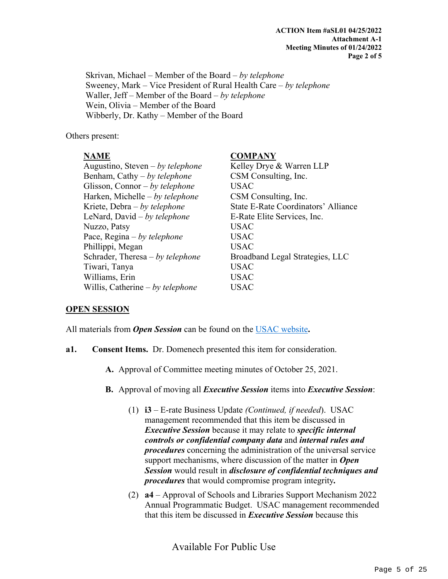Skrivan, Michael – Member of the Board – *by telephone* Sweeney, Mark – Vice President of Rural Health Care – *by telephone* Waller, Jeff – Member of the Board – *by telephone* Wein, Olivia – Member of the Board Wibberly, Dr. Kathy – Member of the Board

Others present:

#### **NAME COMPANY**

| Augustino, Steven – by telephone   | Kelley Drye & Warren LLP                   |
|------------------------------------|--------------------------------------------|
| Benham, Cathy $-by$ telephone      | CSM Consulting, Inc.                       |
| Glisson, Connor – by telephone     | <b>USAC</b>                                |
| Harken, Michelle – by telephone    | CSM Consulting, Inc.                       |
| Kriete, Debra – by telephone       | <b>State E-Rate Coordinators' Alliance</b> |
| LeNard, David $- by$ telephone     | E-Rate Elite Services, Inc.                |
| Nuzzo, Patsy                       | <b>USAC</b>                                |
| Pace, $Regina - by telephone$      | <b>USAC</b>                                |
| Phillippi, Megan                   | <b>USAC</b>                                |
| Schrader, Theresa $- by$ telephone | Broadband Legal Strategies, LLC            |
| Tiwari, Tanya                      | <b>USAC</b>                                |
| Williams, Erin                     | <b>USAC</b>                                |
| Willis, Catherine $- by$ telephone | USAC                                       |
|                                    |                                            |

#### **OPEN SESSION**

All materials from *Open Session* can be found on the [USAC website](https://www.usac.org/about/leadership/board-materials/)**.**

- **a1. Consent Items.** Dr. Domenech presented this item for consideration.
	- **A.** Approval of Committee meeting minutes of October 25, 2021.
	- **B.** Approval of moving all *Executive Session* items into *Executive Session*:
		- (1) **i3**  E-rate Business Update *(Continued, if needed*). USAC management recommended that this item be discussed in *Executive Session* because it may relate to *specific internal controls or confidential company data* and *internal rules and procedures* concerning the administration of the universal service support mechanisms, where discussion of the matter in *Open Session* would result in *disclosure of confidential techniques and procedures* that would compromise program integrity*.*
		- (2) **a4** Approval of Schools and Libraries Support Mechanism 2022 Annual Programmatic Budget. USAC management recommended that this item be discussed in *Executive Session* because this

Available For Public Use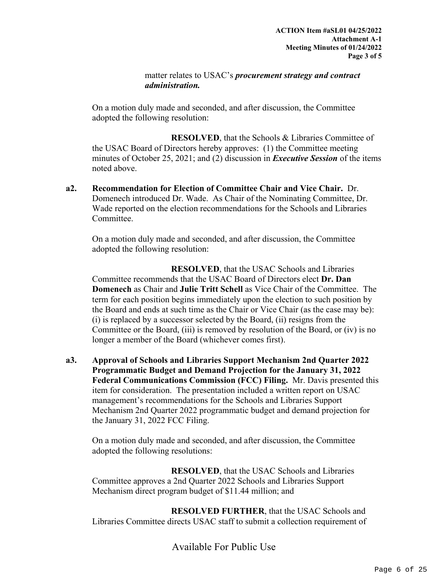matter relates to USAC's *procurement strategy and contract administration.*

On a motion duly made and seconded, and after discussion, the Committee adopted the following resolution:

**RESOLVED**, that the Schools & Libraries Committee of the USAC Board of Directors hereby approves: (1) the Committee meeting minutes of October 25, 2021; and (2) discussion in *Executive Session* of the items noted above.

**a2. Recommendation for Election of Committee Chair and Vice Chair.** Dr. Domenech introduced Dr. Wade. As Chair of the Nominating Committee, Dr. Wade reported on the election recommendations for the Schools and Libraries Committee.

On a motion duly made and seconded, and after discussion, the Committee adopted the following resolution:

**RESOLVED**, that the USAC Schools and Libraries Committee recommends that the USAC Board of Directors elect **Dr. Dan Domenech** as Chair and **Julie Tritt Schell** as Vice Chair of the Committee. The term for each position begins immediately upon the election to such position by the Board and ends at such time as the Chair or Vice Chair (as the case may be): (i) is replaced by a successor selected by the Board, (ii) resigns from the Committee or the Board, (iii) is removed by resolution of the Board, or (iv) is no longer a member of the Board (whichever comes first).

**a3. Approval of Schools and Libraries Support Mechanism 2nd Quarter 2022 Programmatic Budget and Demand Projection for the January 31, 2022 Federal Communications Commission (FCC) Filing.** Mr. Davis presented this item for consideration. The presentation included a written report on USAC management's recommendations for the Schools and Libraries Support Mechanism 2nd Quarter 2022 programmatic budget and demand projection for the January 31, 2022 FCC Filing.

On a motion duly made and seconded, and after discussion, the Committee adopted the following resolutions:

**RESOLVED**, that the USAC Schools and Libraries Committee approves a 2nd Quarter 2022 Schools and Libraries Support Mechanism direct program budget of \$11.44 million; and

**RESOLVED FURTHER**, that the USAC Schools and Libraries Committee directs USAC staff to submit a collection requirement of

Available For Public Use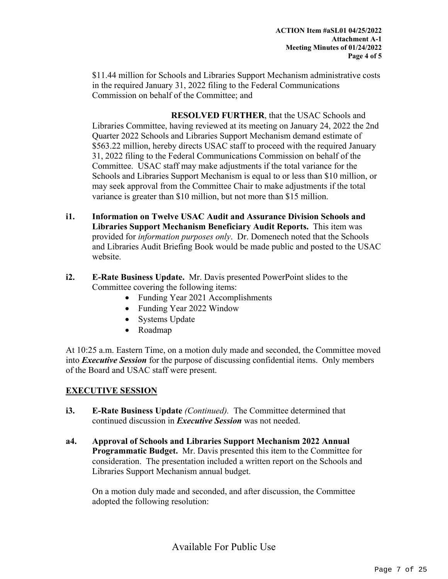\$11.44 million for Schools and Libraries Support Mechanism administrative costs in the required January 31, 2022 filing to the Federal Communications Commission on behalf of the Committee; and

**RESOLVED FURTHER**, that the USAC Schools and Libraries Committee, having reviewed at its meeting on January 24, 2022 the 2nd Quarter 2022 Schools and Libraries Support Mechanism demand estimate of \$563.22 million, hereby directs USAC staff to proceed with the required January 31, 2022 filing to the Federal Communications Commission on behalf of the Committee. USAC staff may make adjustments if the total variance for the Schools and Libraries Support Mechanism is equal to or less than \$10 million, or may seek approval from the Committee Chair to make adjustments if the total variance is greater than \$10 million, but not more than \$15 million.

- **i1. Information on Twelve USAC Audit and Assurance Division Schools and Libraries Support Mechanism Beneficiary Audit Reports.** This item was provided for *information purposes only*. Dr. Domenech noted that the Schools and Libraries Audit Briefing Book would be made public and posted to the USAC website.
- **i2. E-Rate Business Update.** Mr. Davis presented PowerPoint slides to the Committee covering the following items:
	- Funding Year 2021 Accomplishments
	- Funding Year 2022 Window
	- Systems Update
	- Roadmap

At 10:25 a.m. Eastern Time, on a motion duly made and seconded, the Committee moved into *Executive Session* for the purpose of discussing confidential items. Only members of the Board and USAC staff were present.

#### **EXECUTIVE SESSION**

- **i3. E-Rate Business Update** *(Continued).*The Committee determined that continued discussion in *Executive Session* was not needed.
- **a4. Approval of Schools and Libraries Support Mechanism 2022 Annual Programmatic Budget.** Mr. Davis presented this item to the Committee for consideration. The presentation included a written report on the Schools and Libraries Support Mechanism annual budget.

On a motion duly made and seconded, and after discussion, the Committee adopted the following resolution: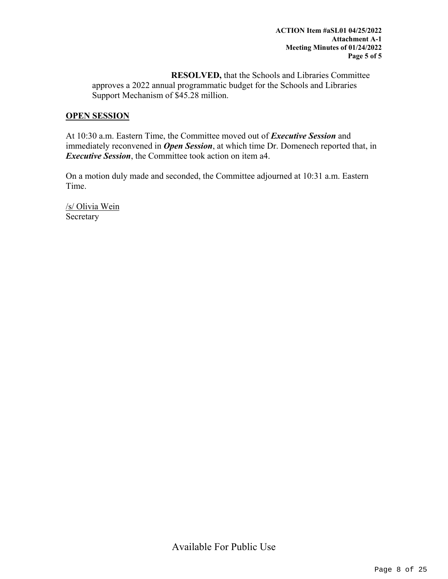**RESOLVED,** that the Schools and Libraries Committee approves a 2022 annual programmatic budget for the Schools and Libraries Support Mechanism of \$45.28 million.

#### **OPEN SESSION**

At 10:30 a.m. Eastern Time, the Committee moved out of *Executive Session* and immediately reconvened in *Open Session*, at which time Dr. Domenech reported that, in *Executive Session*, the Committee took action on item a4.

On a motion duly made and seconded, the Committee adjourned at 10:31 a.m. Eastern Time.

/s/ Olivia Wein Secretary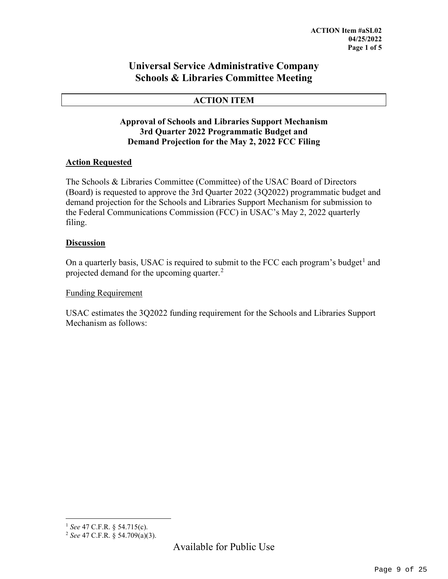#### **Universal Service Administrative Company Schools & Libraries Committee Meeting**

#### **ACTION ITEM**

#### **Approval of Schools and Libraries Support Mechanism 3rd Quarter 2022 Programmatic Budget and Demand Projection for the May 2, 2022 FCC Filing**

#### **Action Requested**

The Schools & Libraries Committee (Committee) of the USAC Board of Directors (Board) is requested to approve the 3rd Quarter 2022 (3Q2022) programmatic budget and demand projection for the Schools and Libraries Support Mechanism for submission to the Federal Communications Commission (FCC) in USAC's May 2, 2022 quarterly filing.

#### **Discussion**

On a quarterly basis, USAC is required to submit to the FCC each program's budget<sup>[1](#page-8-0)</sup> and projected demand for the upcoming quarter.<sup>[2](#page-8-1)</sup>

#### Funding Requirement

USAC estimates the 3Q2022 funding requirement for the Schools and Libraries Support Mechanism as follows:

 <sup>1</sup> *See* 47 C.F.R. § 54.715(c).

<span id="page-8-1"></span><span id="page-8-0"></span><sup>2</sup> *See* 47 C.F.R. § 54.709(a)(3).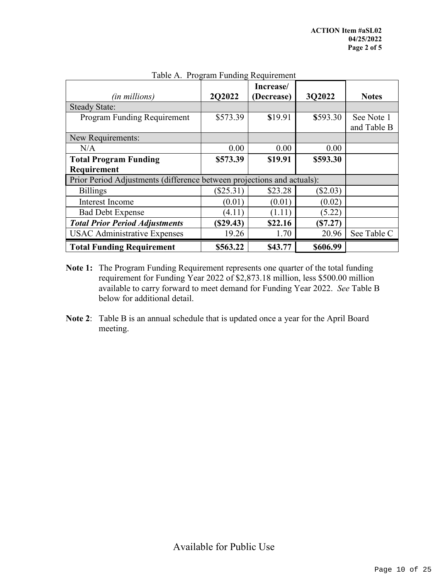|                                                                        |             | Increase/  |            |              |
|------------------------------------------------------------------------|-------------|------------|------------|--------------|
| <i>(in millions)</i>                                                   | 2Q2022      | (Decrease) | 3Q2022     | <b>Notes</b> |
| <b>Steady State:</b>                                                   |             |            |            |              |
| Program Funding Requirement                                            | \$573.39    | \$19.91    | \$593.30   | See Note 1   |
|                                                                        |             |            |            | and Table B  |
| New Requirements:                                                      |             |            |            |              |
| N/A                                                                    | 0.00        | 0.00       | 0.00       |              |
| <b>Total Program Funding</b>                                           | \$573.39    | \$19.91    | \$593.30   |              |
| Requirement                                                            |             |            |            |              |
| Prior Period Adjustments (difference between projections and actuals): |             |            |            |              |
| <b>Billings</b>                                                        | $(\$25.31)$ | \$23.28    | $(\$2.03)$ |              |
| Interest Income                                                        | (0.01)      | (0.01)     | (0.02)     |              |
| <b>Bad Debt Expense</b>                                                | (4.11)      | (1.11)     | (5.22)     |              |
| <b>Total Prior Period Adjustments</b>                                  | (S29.43)    | \$22.16    | (S7.27)    |              |
| <b>USAC Administrative Expenses</b>                                    | 19.26       | 1.70       | 20.96      | See Table C  |
| <b>Total Funding Requirement</b>                                       | \$563.22    | \$43.77    | \$606.99   |              |

Table A. Program Funding Requirement

- **Note 1:** The Program Funding Requirement represents one quarter of the total funding requirement for Funding Year 2022 of \$2,873.18 million, less \$500.00 million available to carry forward to meet demand for Funding Year 2022. *See* Table B below for additional detail.
- **Note 2**: Table B is an annual schedule that is updated once a year for the April Board meeting.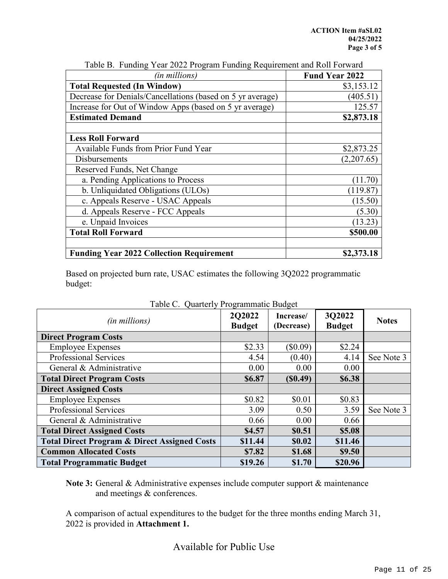| (in millions)                                              | <b>Fund Year 2022</b> |
|------------------------------------------------------------|-----------------------|
| <b>Total Requested (In Window)</b>                         | \$3,153.12            |
| Decrease for Denials/Cancellations (based on 5 yr average) | (405.51)              |
| Increase for Out of Window Apps (based on 5 yr average)    | 125.57                |
| <b>Estimated Demand</b>                                    | \$2,873.18            |
|                                                            |                       |
| <b>Less Roll Forward</b>                                   |                       |
| Available Funds from Prior Fund Year                       | \$2,873.25            |
| Disbursements                                              | (2,207.65)            |
| Reserved Funds, Net Change                                 |                       |
| a. Pending Applications to Process                         | (11.70)               |
| b. Unliquidated Obligations (ULOs)                         | (119.87)              |
| c. Appeals Reserve - USAC Appeals                          | (15.50)               |
| d. Appeals Reserve - FCC Appeals                           | (5.30)                |
| e. Unpaid Invoices                                         | (13.23)               |
| <b>Total Roll Forward</b>                                  | \$500.00              |
|                                                            |                       |
| <b>Funding Year 2022 Collection Requirement</b>            | \$2,373.18            |

Table B. Funding Year 2022 Program Funding Requirement and Roll Forward

Based on projected burn rate, USAC estimates the following 3Q2022 programmatic budget:

| rable C. Quarterly Programmatic Budget                  |                         |                         |                         |              |  |  |
|---------------------------------------------------------|-------------------------|-------------------------|-------------------------|--------------|--|--|
| (in millions)                                           | 2Q2022<br><b>Budget</b> | Increase/<br>(Decrease) | 3Q2022<br><b>Budget</b> | <b>Notes</b> |  |  |
| <b>Direct Program Costs</b>                             |                         |                         |                         |              |  |  |
| <b>Employee Expenses</b>                                | \$2.33                  | $(\$0.09)$              | \$2.24                  |              |  |  |
| <b>Professional Services</b>                            | 4.54                    | (0.40)                  | 4.14                    | See Note 3   |  |  |
| General & Administrative                                | 0.00                    | 0.00                    | 0.00                    |              |  |  |
| <b>Total Direct Program Costs</b>                       | \$6.87                  | (S0.49)                 | \$6.38                  |              |  |  |
| <b>Direct Assigned Costs</b>                            |                         |                         |                         |              |  |  |
| <b>Employee Expenses</b>                                | \$0.82                  | \$0.01                  | \$0.83                  |              |  |  |
| <b>Professional Services</b>                            | 3.09                    | 0.50                    | 3.59                    | See Note 3   |  |  |
| General & Administrative                                | 0.66                    | 0.00                    | 0.66                    |              |  |  |
| <b>Total Direct Assigned Costs</b>                      | \$4.57                  | \$0.51                  | \$5.08                  |              |  |  |
| <b>Total Direct Program &amp; Direct Assigned Costs</b> | \$11.44                 | \$0.02                  | \$11.46                 |              |  |  |
| <b>Common Allocated Costs</b>                           | \$7.82                  | \$1.68                  | \$9.50                  |              |  |  |
| <b>Total Programmatic Budget</b>                        | \$19.26                 | \$1.70                  | \$20.96                 |              |  |  |

|  |  | Table C. Quarterly Programmatic Budget |  |
|--|--|----------------------------------------|--|
|--|--|----------------------------------------|--|

**Note 3:** General & Administrative expenses include computer support & maintenance and meetings & conferences.

A comparison of actual expenditures to the budget for the three months ending March 31, 2022 is provided in **Attachment 1.**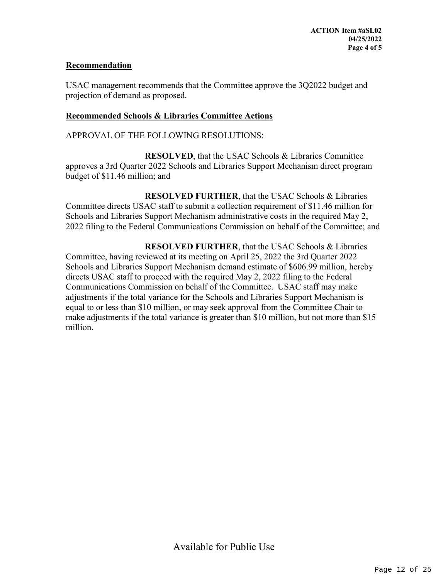#### **Recommendation**

USAC management recommends that the Committee approve the 3Q2022 budget and projection of demand as proposed.

#### **Recommended Schools & Libraries Committee Actions**

APPROVAL OF THE FOLLOWING RESOLUTIONS:

**RESOLVED**, that the USAC Schools & Libraries Committee approves a 3rd Quarter 2022 Schools and Libraries Support Mechanism direct program budget of \$11.46 million; and

**RESOLVED FURTHER**, that the USAC Schools & Libraries Committee directs USAC staff to submit a collection requirement of \$11.46 million for Schools and Libraries Support Mechanism administrative costs in the required May 2, 2022 filing to the Federal Communications Commission on behalf of the Committee; and

**RESOLVED FURTHER**, that the USAC Schools & Libraries Committee, having reviewed at its meeting on April 25, 2022 the 3rd Quarter 2022 Schools and Libraries Support Mechanism demand estimate of \$606.99 million, hereby directs USAC staff to proceed with the required May 2, 2022 filing to the Federal Communications Commission on behalf of the Committee. USAC staff may make adjustments if the total variance for the Schools and Libraries Support Mechanism is equal to or less than \$10 million, or may seek approval from the Committee Chair to make adjustments if the total variance is greater than \$10 million, but not more than \$15 million.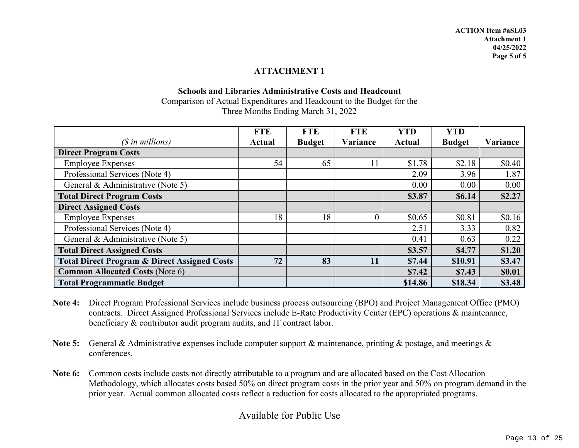#### **ATTACHMENT 1**

#### **Schools and Libraries Administrative Costs and Headcount** Comparison of Actual Expenditures and Headcount to the Budget for the Three Months Ending March 31, 2022

|                                                         | <b>FTE</b>    | <b>FTE</b>    | <b>FTE</b> | <b>YTD</b>    | <b>YTD</b>    |          |
|---------------------------------------------------------|---------------|---------------|------------|---------------|---------------|----------|
| $(S$ in millions)                                       | <b>Actual</b> | <b>Budget</b> | Variance   | <b>Actual</b> | <b>Budget</b> | Variance |
| <b>Direct Program Costs</b>                             |               |               |            |               |               |          |
| <b>Employee Expenses</b>                                | 54            | 65            |            | \$1.78        | \$2.18        | \$0.40   |
| Professional Services (Note 4)                          |               |               |            | 2.09          | 3.96          | 1.87     |
| General & Administrative (Note 5)                       |               |               |            | 0.00          | 0.00          | 0.00     |
| <b>Total Direct Program Costs</b>                       |               |               |            | \$3.87        | <b>\$6.14</b> | \$2.27   |
| <b>Direct Assigned Costs</b>                            |               |               |            |               |               |          |
| <b>Employee Expenses</b>                                | 18            | 18            | $\theta$   | \$0.65        | \$0.81        | \$0.16   |
| Professional Services (Note 4)                          |               |               |            | 2.51          | 3.33          | 0.82     |
| General & Administrative (Note 5)                       |               |               |            | 0.41          | 0.63          | 0.22     |
| <b>Total Direct Assigned Costs</b>                      |               |               |            | \$3.57        | \$4.77        | \$1.20   |
| <b>Total Direct Program &amp; Direct Assigned Costs</b> | 72            | 83            |            | \$7.44        | \$10.91       | \$3.47   |
| <b>Common Allocated Costs (Note 6)</b>                  |               |               |            | \$7.42        | \$7.43        | \$0.01   |
| <b>Total Programmatic Budget</b>                        |               |               |            | \$14.86       | \$18.34       | \$3.48   |

- **Note 4:** Direct Program Professional Services include business process outsourcing (BPO) and Project Management Office **(**PMO) contracts. Direct Assigned Professional Services include E-Rate Productivity Center (EPC) operations & maintenance, beneficiary & contributor audit program audits, and IT contract labor.
- **Note 5:** General & Administrative expenses include computer support & maintenance, printing & postage, and meetings & conferences.
- **Note 6:** Common costs include costs not directly attributable to a program and are allocated based on the Cost Allocation Methodology, which allocates costs based 50% on direct program costs in the prior year and 50% on program demand in the prior year. Actual common allocated costs reflect a reduction for costs allocated to the appropriated programs.

Available for Public Use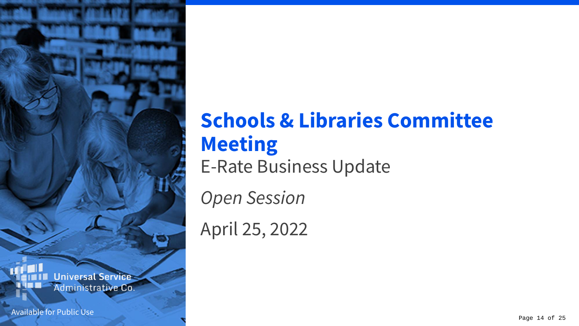

Available for Public Use

### **Schools & Libraries Committee Meeting** E-Rate Business Update

*Open Session*

April 25, 2022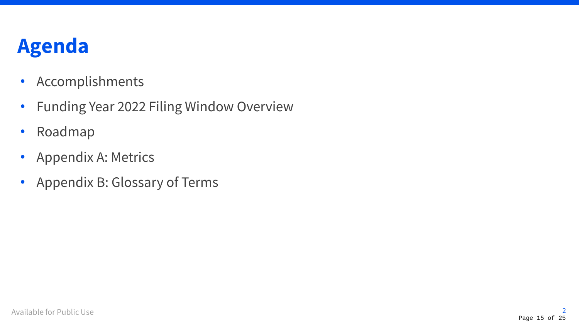### **Agenda**

- Accomplishments
- Funding Year 2022 Filing Window Overview
- Roadmap
- Appendix A: Metrics
- Appendix B: Glossary of Terms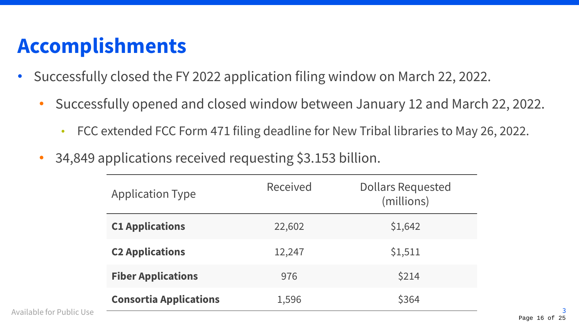### **Accomplishments**

- Successfully closed the FY 2022 application filing window on March 22, 2022.
	- Successfully opened and closed window between January 12 and March 22, 2022.
		- FCC extended FCC Form 471 filing deadline for New Tribal libraries to May 26, 2022.
	- 34,849 applications received requesting \$3.153 billion.

| <b>Application Type</b>       | Received | <b>Dollars Requested</b><br>(millions) |
|-------------------------------|----------|----------------------------------------|
| <b>C1 Applications</b>        | 22,602   | \$1,642                                |
| <b>C2 Applications</b>        | 12,247   | \$1,511                                |
| <b>Fiber Applications</b>     | 976      | <b>\$214</b>                           |
| <b>Consortia Applications</b> | 1,596    | \$364                                  |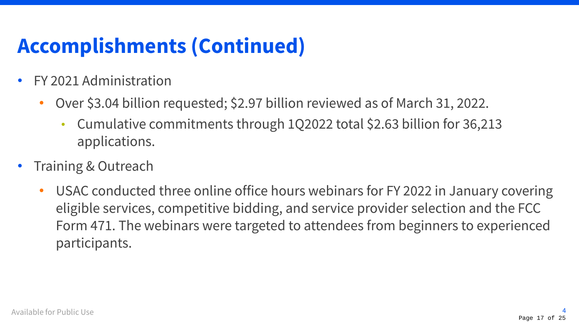# **Accomplishments (Continued)**

- FY 2021 Administration
	- Over \$3.04 billion requested; \$2.97 billion reviewed as of March 31, 2022.
		- Cumulative commitments through 1Q2022 total \$2.63 billion for 36,213 applications.
- Training & Outreach
	- USAC conducted three online office hours webinars for FY 2022 in January covering eligible services, competitive bidding, and service provider selection and the FCC Form 471. The webinars were targeted to attendees from beginners to experienced participants.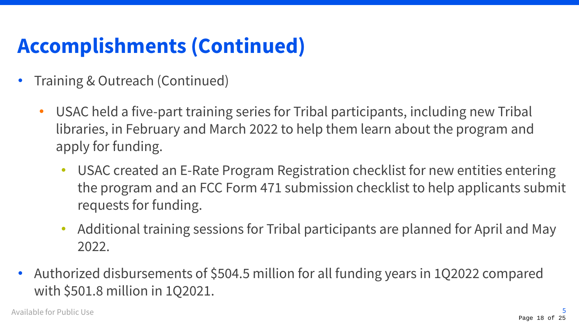# **Accomplishments (Continued)**

- Training & Outreach (Continued)
	- USAC held a five-part training series for Tribal participants, including new Tribal libraries, in February and March 2022 to help them learn about the program and apply for funding.
		- USAC created an E-Rate Program Registration checklist for new entities entering the program and an FCC Form 471 submission checklist to help applicants submit requests for funding.
		- Additional training sessions for Tribal participants are planned for April and May 2022.
- Authorized disbursements of \$504.5 million for all funding years in 1Q2022 compared with \$501.8 million in 1Q2021.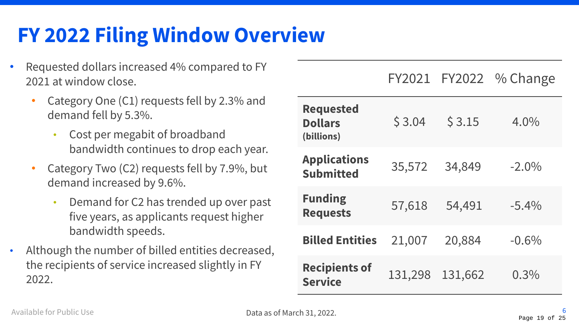### **FY 2022 Filing Window Overview**

- Requested dollars increased 4% compared to FY 2021 at window close.
	- Category One (C1) requests fell by 2.3% and demand fell by 5.3%.
		- Cost per megabit of broadband bandwidth continues to drop each year.
	- Category Two (C2) requests fell by 7.9%, but demand increased by 9.6%.
		- Demand for C2 has trended up over past five years, as applicants request higher bandwidth speeds.
- Although the number of billed entities decreased, the recipients of service increased slightly in FY 2022.

**Requested Dollars (billions)**  $$3.04$   $$3.15$   $4.0\%$ **Applications Submitted** 35,572 34,849 -2.0% **Funding Requests** 57,618 54,491 -5.4% **Billed Entities** 21,007 20,884 -0.6% **Recipients of Service** 131,298 131,662 0.3%

FY2021 FY2022 % Change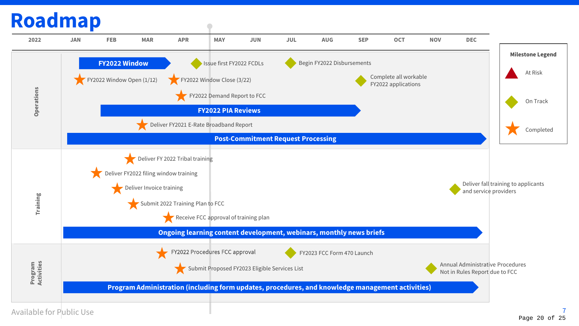### **Roadmap**

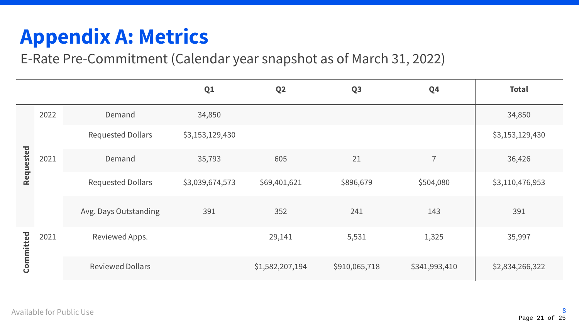# **Appendix A: Metrics**

E-Rate Pre-Commitment (Calendar year snapshot as of March 31, 2022)

|           |      |                          | Q <sub>1</sub>  | Q <sub>2</sub>  | Q <sub>3</sub> | Q <sub>4</sub> | <b>Total</b>    |                |        |
|-----------|------|--------------------------|-----------------|-----------------|----------------|----------------|-----------------|----------------|--------|
| Requested | 2022 | Demand                   | 34,850          |                 |                |                | 34,850          |                |        |
|           |      | <b>Requested Dollars</b> | \$3,153,129,430 |                 |                |                | \$3,153,129,430 |                |        |
|           | 2021 |                          |                 | Demand          | 35,793         | 605            | 21              | $\overline{7}$ | 36,426 |
|           |      | <b>Requested Dollars</b> | \$3,039,674,573 | \$69,401,621    | \$896,679      | \$504,080      | \$3,110,476,953 |                |        |
|           |      | Avg. Days Outstanding    | 391             | 352             | 241            | 143            | 391             |                |        |
| Committed | 2021 | Reviewed Apps.           |                 | 29,141          | 5,531          | 1,325          | 35,997          |                |        |
|           |      | <b>Reviewed Dollars</b>  |                 | \$1,582,207,194 | \$910,065,718  | \$341,993,410  | \$2,834,266,322 |                |        |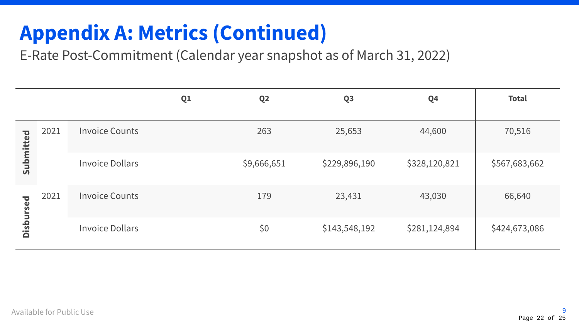# **Appendix A: Metrics (Continued)**

E-Rate Post-Commitment (Calendar year snapshot as of March 31, 2022)

|                              |      |                        | Q1 | Q <sub>2</sub> | Q <sub>3</sub> | Q <sub>4</sub> | <b>Total</b>  |
|------------------------------|------|------------------------|----|----------------|----------------|----------------|---------------|
| Submitted                    | 2021 | <b>Invoice Counts</b>  |    | 263            | 25,653         | 44,600         | 70,516        |
|                              |      | <b>Invoice Dollars</b> |    | \$9,666,651    | \$229,896,190  | \$328,120,821  | \$567,683,662 |
| <b>b</b> ss.<br><b>Disbu</b> | 2021 | <b>Invoice Counts</b>  |    | 179            | 23,431         | 43,030         | 66,640        |
|                              |      | <b>Invoice Dollars</b> |    | \$0            | \$143,548,192  | \$281,124,894  | \$424,673,086 |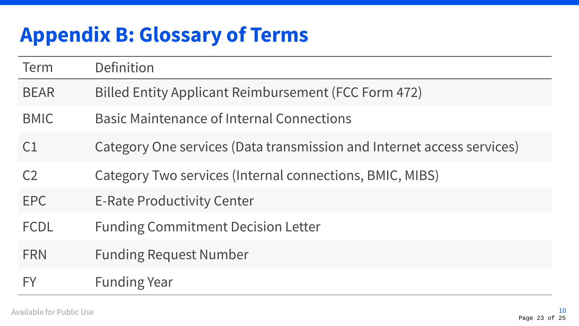# **Appendix B: Glossary of Terms**

| Term           | Definition                                                             |
|----------------|------------------------------------------------------------------------|
| <b>BEAR</b>    | Billed Entity Applicant Reimbursement (FCC Form 472)                   |
| <b>BMIC</b>    | <b>Basic Maintenance of Internal Connections</b>                       |
| C <sub>1</sub> | Category One services (Data transmission and Internet access services) |
| C <sub>2</sub> | Category Two services (Internal connections, BMIC, MIBS)               |
| <b>EPC</b>     | <b>E-Rate Productivity Center</b>                                      |
| <b>FCDL</b>    | <b>Funding Commitment Decision Letter</b>                              |
| <b>FRN</b>     | <b>Funding Request Number</b>                                          |
| <b>FY</b>      | <b>Funding Year</b>                                                    |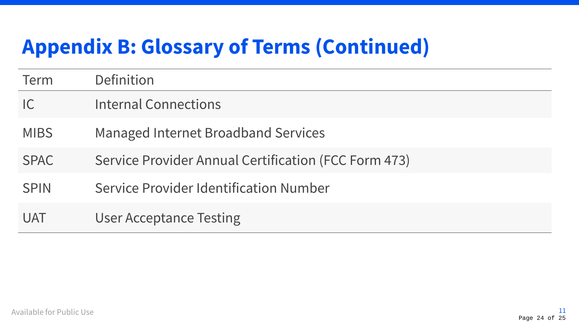### **Appendix B: Glossary of Terms (Continued)**

| Term        | Definition                                           |
|-------------|------------------------------------------------------|
| C           | <b>Internal Connections</b>                          |
| <b>MIBS</b> | <b>Managed Internet Broadband Services</b>           |
| <b>SPAC</b> | Service Provider Annual Certification (FCC Form 473) |
| <b>SPIN</b> | Service Provider Identification Number               |
| <b>UAT</b>  | <b>User Acceptance Testing</b>                       |